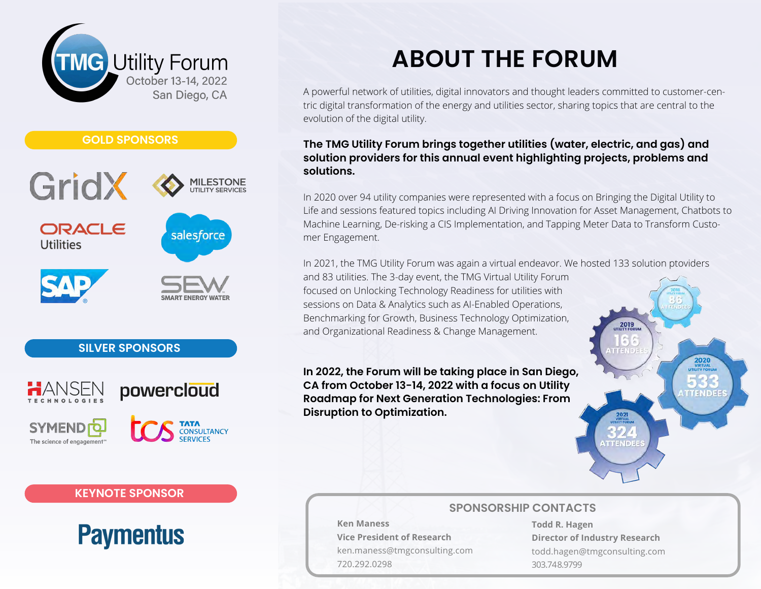



### **SILVER SPONSORS**

**KEYNOTE SPONSOR**

**Paymentus** 







# **ABOUT THE FORUM**

A powerful network of utilities, digital innovators and thought leaders committed to customer-centric digital transformation of the energy and utilities sector, sharing topics that are central to the evolution of the digital utility.

### **The TMG Utility Forum brings together utilities (water, electric, and gas) and solution providers for this annual event highlighting projects, problems and solutions.**

In 2020 over 94 utility companies were represented with a focus on Bringing the Digital Utility to Life and sessions featured topics including AI Driving Innovation for Asset Management, Chatbots to Machine Learning, De-risking a CIS Implementation, and Tapping Meter Data to Transform Customer Engagement.

In 2021, the TMG Utility Forum was again a virtual endeavor. We hosted 133 solution ptoviders

and 83 utilities. The 3-day event, the TMG Virtual Utility Forum focused on Unlocking Technology Readiness for utilities with sessions on Data & Analytics such as AI-Enabled Operations, Benchmarking for Growth, Business Technology Optimization, and Organizational Readiness & Change Management.

**In 2022, the Forum will be taking place in San Diego, CA from October 13-14, 2022 with a focus on Utility Roadmap for Next Generation Technologies: From Disruption to Optimization.** 



### **SPONSORSHIP CONTACTS**

**Ken Maness Vice President of Research** ken.maness@tmgconsulting.com 720.292.0298

**Todd R. Hagen Director of Industry Research** todd.hagen@tmgconsulting.com 303.748.9799